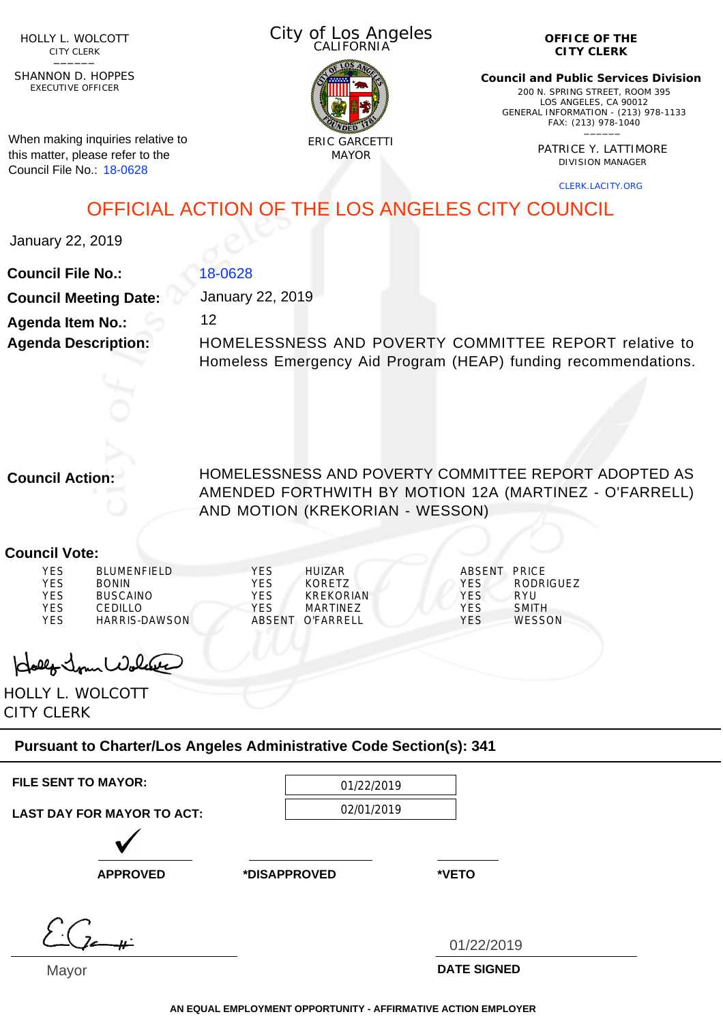HOLLY L. WOLCOTT CITY CLERK<br>—————

EXECUTIVE OFFICER SHANNON D. HOPPES

When making inquiries relative to this matter, please refer to the Council File No.: 18-0628

City of Los Angeles CALIFORNIA



**OFFICE OF THE CITY CLERK**

**Council and Public Services Division** 200 N. SPRING STREET, ROOM 395 LOS ANGELES, CA 90012 GENERAL INFORMATION - (213) 978-1133 FAX: (213) 978-1040 \_\_\_\_\_\_

> PATRICE Y. LATTIMORE DIVISION MANAGER

> > CLERK.LACITY.ORG

OFFICIAL ACTION OF THE LOS ANGELES CITY COUNCIL

January 22, 2019

**Council File No.: Council Meeting Date: Agenda Item No.: Agenda Description:** 18-0628 January 22, 2019 12 HOMELESSNESS AND POVERTY COMMITTEE REPORT relative to Homeless Emergency Aid Program (HEAP) funding recommendations.

**Council Action:**

HOMELESSNESS AND POVERTY COMMITTEE REPORT ADOPTED AS AMENDED FORTHWITH BY MOTION 12A (MARTINEZ - O'FARRELL) AND MOTION (KREKORIAN - WESSON)

## **Council Vote:**

| <b>YES</b> | BLUMENFIFLD     | <b>YFS</b> | HUIZAR           | ABSENT PRICE |               |
|------------|-----------------|------------|------------------|--------------|---------------|
| <b>YES</b> | <b>BONIN</b>    | YFS        | KORFTZ           | <b>YFS</b>   | RODRIGUEZ     |
| <b>YES</b> | <b>BUSCAINO</b> | YFS        | KRFKORIAN        | YFS.         | RYU           |
| YES        | CEDILLO.        | YFS        | MARTINF7         | <b>VFS</b>   | <b>SMITH</b>  |
| <b>YES</b> | HARRIS-DAWSON   |            | ABSENT O'FARRELL | YFS          | <b>WESSON</b> |

Holly Jour Wolder

HOLLY L. WOLCOTT CITY CLERK

## **Pursuant to Charter/Los Angeles Administrative Code Section(s): 341**

| <b>FILE SENT TO MAYOR:</b>        | 01/22/2019   |            |
|-----------------------------------|--------------|------------|
| <b>LAST DAY FOR MAYOR TO ACT:</b> | 02/01/2019   |            |
|                                   |              |            |
| <b>APPROVED</b>                   | *DISAPPROVED | *VETO      |
|                                   |              |            |
|                                   |              | 01/22/2019 |
| . .                               |              | ---------- |

Mayor

**DATE SIGNED**

**AN EQUAL EMPLOYMENT OPPORTUNITY - AFFIRMATIVE ACTION EMPLOYER**